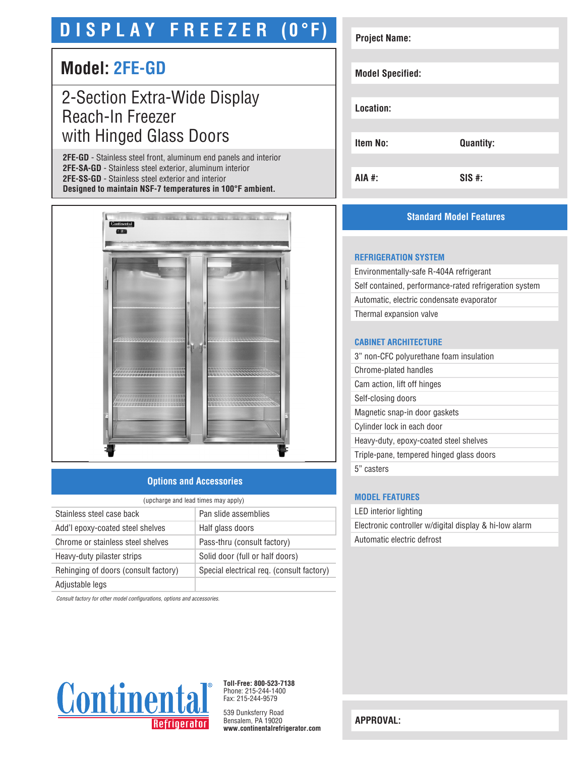# **D I S P L A Y F R E E Z E R (0°F)**

# **Model: 2FE-GD**

# 2-Section Extra-Wide Display Reach-In Freezer with Hinged Glass Doors

**2FE-GD** - Stainless steel front, aluminum end panels and interior **2FE-SA-GD** - Stainless steel exterior, aluminum interior **2FE-SS-GD** - Stainless steel exterior and interior **Designed to maintain NSF-7 temperatures in 100°F ambient.**



# **Options and Accessories**

| (upcharge and lead times may apply)  |                                           |  |
|--------------------------------------|-------------------------------------------|--|
| Stainless steel case back            | Pan slide assemblies                      |  |
| Add'l epoxy-coated steel shelves     | Half glass doors                          |  |
| Chrome or stainless steel shelves    | Pass-thru (consult factory)               |  |
| Heavy-duty pilaster strips           | Solid door (full or half doors)           |  |
| Rehinging of doors (consult factory) | Special electrical req. (consult factory) |  |
| Adjustable legs                      |                                           |  |

*Consult factory for other model configurations, options and accessories.*



**Toll-Free: 800-523-7138** Phone: 215-244-1400 Fax: 215-244-9579

539 Dunksferry Road Bensalem, PA 19020 **www.continentalrefrigerator.com** 

| <b>Project Name:</b>    |                  |
|-------------------------|------------------|
| <b>Model Specified:</b> |                  |
| Location:               |                  |
| <b>Item No:</b>         | <b>Quantity:</b> |
| AIA #:                  | $SIS$ #:         |

# **Standard Model Features**

#### **REFRIGERATION SYSTEM**

Environmentally-safe R-404A refrigerant Self contained, performance-rated refrigeration system Automatic, electric condensate evaporator Thermal expansion valve

# **CABINET ARCHITECTURE**

| 3" non-CFC polyurethane foam insulation  |
|------------------------------------------|
| Chrome-plated handles                    |
| Cam action, lift off hinges              |
| Self-closing doors                       |
| Magnetic snap-in door gaskets            |
| Cylinder lock in each door               |
| Heavy-duty, epoxy-coated steel shelves   |
| Triple-pane, tempered hinged glass doors |
| 5" casters                               |
|                                          |

#### **MODEL FEATURES**

LED interior lighting Electronic controller w/digital display & hi-low alarm Automatic electric defrost

**APPROVAL:**